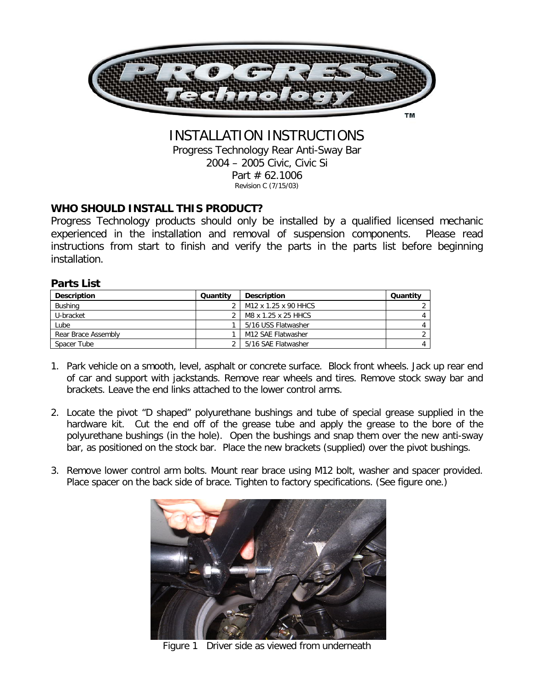

## INSTALLATION INSTRUCTIONS

Progress Technology Rear Anti-Sway Bar 2004 – 2005 Civic, Civic Si Part # 62.1006 Revision C (7/15/03)

## **WHO SHOULD INSTALL THIS PRODUCT?**

Progress Technology products should only be installed by a qualified licensed mechanic experienced in the installation and removal of suspension components. Please read instructions from start to finish and verify the parts in the parts list before beginning installation.

## **Parts List**

| <b>Description</b>  | Quantity | <b>Description</b>   | Quantity |
|---------------------|----------|----------------------|----------|
| Bushing             |          | M12 x 1.25 x 90 HHCS |          |
| U-bracket           |          | M8 x 1.25 x 25 HHCS  |          |
| Lube                |          | 5/16 USS Flatwasher  |          |
| Rear Brace Assembly |          | M12 SAE Flatwasher   |          |
| Spacer Tube         |          | 5/16 SAE Flatwasher  |          |

- 1. Park vehicle on a smooth, level, asphalt or concrete surface. Block front wheels. Jack up rear end of car and support with jackstands. Remove rear wheels and tires. Remove stock sway bar and brackets. Leave the end links attached to the lower control arms.
- 2. Locate the pivot "D shaped" polyurethane bushings and tube of special grease supplied in the hardware kit. Cut the end off of the grease tube and apply the grease to the bore of the polyurethane bushings (in the hole). Open the bushings and snap them over the new anti-sway bar, as positioned on the stock bar. Place the new brackets (supplied) over the pivot bushings.
- 3. Remove lower control arm bolts. Mount rear brace using M12 bolt, washer and spacer provided. Place spacer on the back side of brace. Tighten to factory specifications. (See figure one.)



Figure 1 Driver side as viewed from underneath